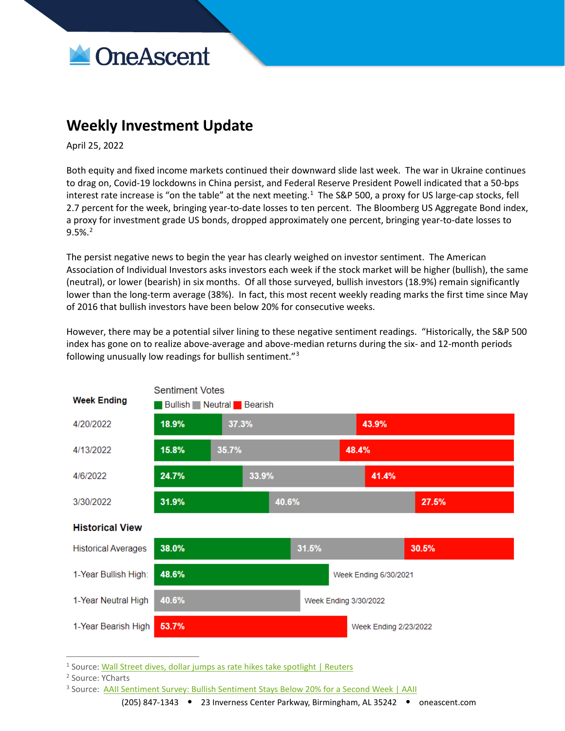

## **Weekly Investment Update**

April 25, 2022

Both equity and fixed income markets continued their downward slide last week. The war in Ukraine continues to drag on, Covid-19 lockdowns in China persist, and Federal Reserve President Powell indicated that a 50-bps interest rate increase is "on the table" at the next meeting.<sup>[1](#page-0-0)</sup> The S&P 500, a proxy for US large-cap stocks, fell 2.7 percent for the week, bringing year-to-date losses to ten percent. The Bloomberg US Aggregate Bond index, a proxy for investment grade US bonds, dropped approximately one percent, bringing year-to-date losses to 9.5%.[2](#page-0-1)

The persist negative news to begin the year has clearly weighed on investor sentiment. The American Association of Individual Investors asks investors each week if the stock market will be higher (bullish), the same (neutral), or lower (bearish) in six months. Of all those surveyed, bullish investors (18.9%) remain significantly lower than the long-term average (38%). In fact, this most recent weekly reading marks the first time since May of 2016 that bullish investors have been below 20% for consecutive weeks.

However, there may be a potential silver lining to these negative sentiment readings. "Historically, the S&P 500 index has gone on to realize above-average and above-median returns during the six- and 12-month periods following unusually low readings for bullish sentiment."<sup>[3](#page-0-2)</sup>



<span id="page-0-0"></span> $1$  Source: [Wall Street dives, dollar jumps as rate hikes take spotlight | Reuters](https://www.reuters.com/business/global-markets-wrapup-1-2022-04-22/)

<span id="page-0-1"></span><sup>2</sup> Source: YCharts

<span id="page-0-2"></span><sup>&</sup>lt;sup>3</sup> Source: [AAII Sentiment Survey: Bullish Sentiment Stays Below 20% for a Second Week | AAII](https://www.aaii.com/latest/article/17019-aaii-sentiment-survey-bullish-sentiment-stays-below-20-for-a-second-week)